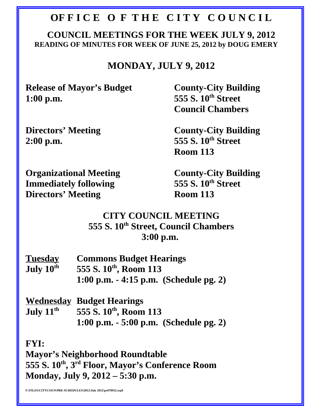#### **OFFICE OF THE CITY COUNCIL**

#### **COUNCIL MEETINGS FOR THE WEEK JULY 9, 2012 READING OF MINUTES FOR WEEK OF JUNE 25, 2012 by DOUG EMERY**

#### **MONDAY, JULY 9, 2012**

**Release of Mayor's Budget County-City Building 1:00 p.m.** 555 S. 10<sup>th</sup> Street

**Council Chambers** 

**2:00 p.m.** 555 S. 10<sup>th</sup> Street

**Directors' Meeting County-City Building Room 113**

**Organizational Meeting County-City Building Immediately following 555 S. 10<sup>th</sup> Street<br>Directors' Meeting Room 113 Directors' Meeting** 

#### **CITY COUNCIL MEETING 555 S. 10th Street, Council Chambers 3:00 p.m.**

| <b>Tuesday</b>        | <b>Commons Budget Hearings</b>          |
|-----------------------|-----------------------------------------|
| July 10 <sup>th</sup> | 555 S. 10 <sup>th</sup> , Room 113      |
|                       | 1:00 p.m. $-4:15$ p.m. (Schedule pg. 2) |

**Wednesday Budget Hearings July 11<sup>th</sup> 555 S. 10<sup>th</sup>, Room 113 1:00 p.m. - 5:00 p.m. (Schedule pg. 2)**

**FYI:**

**Mayor's Neighborhood Roundtable 555 S. 10th, 3rd Floor, Mayor's Conference Room Monday, July 9, 2012 – 5:30 p.m.**

**F:\FILES\CITYCOUN\PRE-SCHEDULES\2012\July 2012\pc070912.wpd**